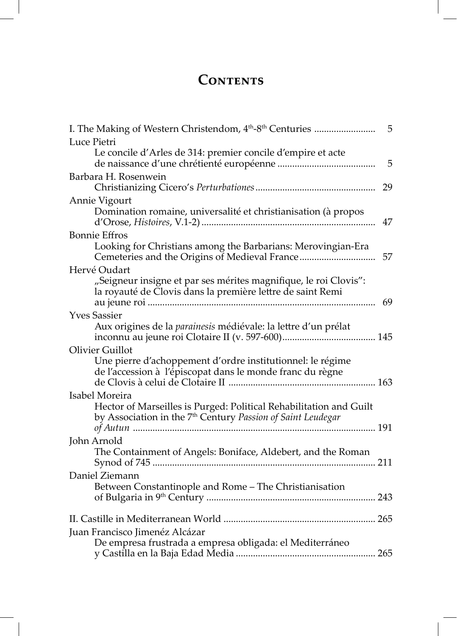## CONTENTS

| I. The Making of Western Christendom, 4 <sup>th</sup> -8 <sup>th</sup> Centuries                                                                  | 5  |
|---------------------------------------------------------------------------------------------------------------------------------------------------|----|
| Luce Pietri                                                                                                                                       |    |
| Le concile d'Arles de 314: premier concile d'empire et acte                                                                                       | 5  |
| Barbara H. Rosenwein                                                                                                                              | 29 |
| Annie Vigourt<br>Domination romaine, universalité et christianisation (à propos                                                                   | 47 |
| <b>Bonnie Effros</b>                                                                                                                              |    |
| Looking for Christians among the Barbarians: Merovingian-Era                                                                                      | 57 |
| Hervé Oudart                                                                                                                                      |    |
| "Seigneur insigne et par ses mérites magnifique, le roi Clovis":<br>la royauté de Clovis dans la première lettre de saint Remi                    | 69 |
| <b>Yves Sassier</b>                                                                                                                               |    |
| Aux origines de la parainesis médiévale: la lettre d'un prélat                                                                                    |    |
| <b>Olivier Guillot</b><br>Une pierre d'achoppement d'ordre institutionnel: le régime<br>de l'accession à l'épiscopat dans le monde franc du règne |    |
| Isabel Moreira                                                                                                                                    |    |
| Hector of Marseilles is Purged: Political Rehabilitation and Guilt<br>by Association in the 7 <sup>th</sup> Century Passion of Saint Leudegar     |    |
| John Arnold                                                                                                                                       |    |
| The Containment of Angels: Boniface, Aldebert, and the Roman                                                                                      |    |
| Daniel Ziemann                                                                                                                                    |    |
| Between Constantinople and Rome - The Christianisation                                                                                            |    |
|                                                                                                                                                   |    |
| Juan Francisco Jimenéz Alcázar                                                                                                                    |    |
| De empresa frustrada a empresa obligada: el Mediterráneo                                                                                          |    |